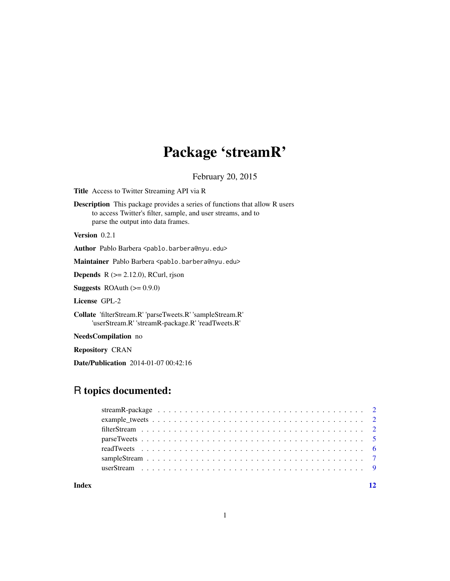## Package 'streamR'

February 20, 2015

Title Access to Twitter Streaming API via R

Description This package provides a series of functions that allow R users to access Twitter's filter, sample, and user streams, and to parse the output into data frames.

Version 0.2.1

Author Pablo Barbera <pablo.barbera@nyu.edu>

Maintainer Pablo Barbera <pablo.barbera@nyu.edu>

**Depends** R  $(>= 2.12.0)$ , RCurl, rjson

**Suggests** ROAuth  $(>= 0.9.0)$ 

License GPL-2

Collate 'filterStream.R' 'parseTweets.R' 'sampleStream.R' 'userStream.R' 'streamR-package.R' 'readTweets.R'

NeedsCompilation no

Repository CRAN

Date/Publication 2014-01-07 00:42:16

### R topics documented:

#### **Index** [12](#page-11-0)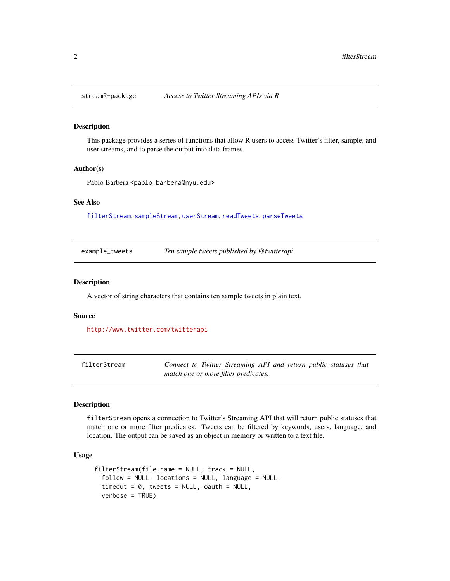<span id="page-1-0"></span>

#### Description

This package provides a series of functions that allow R users to access Twitter's filter, sample, and user streams, and to parse the output into data frames.

#### Author(s)

Pablo Barbera <pablo.barbera@nyu.edu>

#### See Also

[filterStream](#page-1-1), [sampleStream](#page-6-1), [userStream](#page-8-1), [readTweets](#page-5-1), [parseTweets](#page-4-1)

example\_tweets *Ten sample tweets published by @twitterapi*

#### **Description**

A vector of string characters that contains ten sample tweets in plain text.

#### Source

<http://www.twitter.com/twitterapi>

<span id="page-1-1"></span>filterStream *Connect to Twitter Streaming API and return public statuses that match one or more filter predicates.*

#### Description

filterStream opens a connection to Twitter's Streaming API that will return public statuses that match one or more filter predicates. Tweets can be filtered by keywords, users, language, and location. The output can be saved as an object in memory or written to a text file.

#### Usage

```
filterStream(file.name = NULL, track = NULL,
 follow = NULL, locations = NULL, language = NULL,
 timeout = 0, tweets = NULL, oauth = NULL,
 verbose = TRUE)
```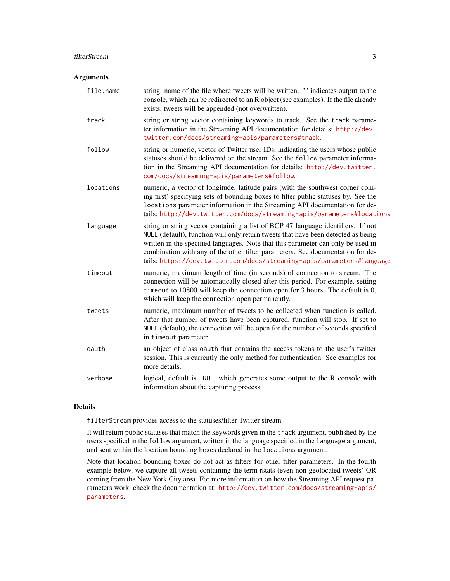#### filterStream 3

#### Arguments

| file.name | string, name of the file where tweets will be written. "" indicates output to the<br>console, which can be redirected to an R object (see examples). If the file already<br>exists, tweets will be appended (not overwritten).                                                                                                                                                                                        |
|-----------|-----------------------------------------------------------------------------------------------------------------------------------------------------------------------------------------------------------------------------------------------------------------------------------------------------------------------------------------------------------------------------------------------------------------------|
| track     | string or string vector containing keywords to track. See the track parame-<br>ter information in the Streaming API documentation for details: http://dev.<br>twitter.com/docs/streaming-apis/parameters#track.                                                                                                                                                                                                       |
| follow    | string or numeric, vector of Twitter user IDs, indicating the users whose public<br>statuses should be delivered on the stream. See the follow parameter informa-<br>tion in the Streaming API documentation for details: http://dev.twitter.<br>com/docs/streaming-apis/parameters#follow.                                                                                                                           |
| locations | numeric, a vector of longitude, latitude pairs (with the southwest corner com-<br>ing first) specifying sets of bounding boxes to filter public statuses by. See the<br>locations parameter information in the Streaming API documentation for de-<br>tails: http://dev.twitter.com/docs/streaming-apis/parameters#locations                                                                                          |
| language  | string or string vector containing a list of BCP 47 language identifiers. If not<br>NULL (default), function will only return tweets that have been detected as being<br>written in the specified languages. Note that this parameter can only be used in<br>combination with any of the other filter parameters. See documentation for de-<br>tails: https://dev.twitter.com/docs/streaming-apis/parameters#language |
| timeout   | numeric, maximum length of time (in seconds) of connection to stream. The<br>connection will be automatically closed after this period. For example, setting<br>timeout to 10800 will keep the connection open for 3 hours. The default is 0,<br>which will keep the connection open permanently.                                                                                                                     |
| tweets    | numeric, maximum number of tweets to be collected when function is called.<br>After that number of tweets have been captured, function will stop. If set to<br>NULL (default), the connection will be open for the number of seconds specified<br>in timeout parameter.                                                                                                                                               |
| oauth     | an object of class oauth that contains the access tokens to the user's twitter<br>session. This is currently the only method for authentication. See examples for<br>more details.                                                                                                                                                                                                                                    |
| verbose   | logical, default is TRUE, which generates some output to the R console with<br>information about the capturing process.                                                                                                                                                                                                                                                                                               |
|           |                                                                                                                                                                                                                                                                                                                                                                                                                       |

#### Details

filterStream provides access to the statuses/filter Twitter stream.

It will return public statuses that match the keywords given in the track argument, published by the users specified in the follow argument, written in the language specified in the language argument, and sent within the location bounding boxes declared in the locations argument.

Note that location bounding boxes do not act as filters for other filter parameters. In the fourth example below, we capture all tweets containing the term rstats (even non-geolocated tweets) OR coming from the New York City area. For more information on how the Streaming API request parameters work, check the documentation at: [http://dev.twitter.com/docs/streaming-apis/](http://dev.twitter.com/docs/streaming-apis/parameters) [parameters](http://dev.twitter.com/docs/streaming-apis/parameters).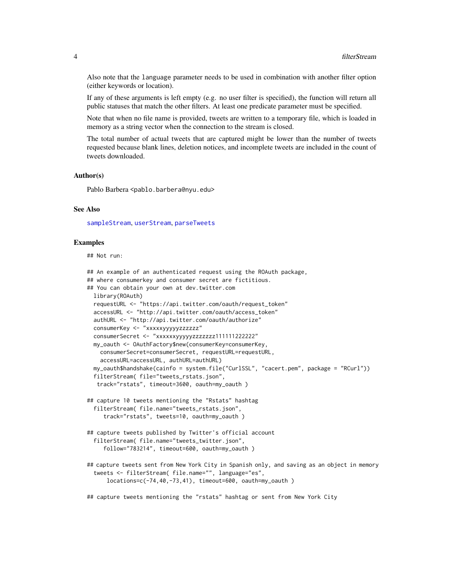<span id="page-3-0"></span>Also note that the language parameter needs to be used in combination with another filter option (either keywords or location).

If any of these arguments is left empty (e.g. no user filter is specified), the function will return all public statuses that match the other filters. At least one predicate parameter must be specified.

Note that when no file name is provided, tweets are written to a temporary file, which is loaded in memory as a string vector when the connection to the stream is closed.

The total number of actual tweets that are captured might be lower than the number of tweets requested because blank lines, deletion notices, and incomplete tweets are included in the count of tweets downloaded.

#### Author(s)

Pablo Barbera <pablo.barbera@nyu.edu>

#### See Also

[sampleStream](#page-6-1), [userStream](#page-8-1), [parseTweets](#page-4-1)

#### Examples

## Not run:

```
## An example of an authenticated request using the ROAuth package,
## where consumerkey and consumer secret are fictitious.
## You can obtain your own at dev.twitter.com
 library(ROAuth)
 requestURL <- "https://api.twitter.com/oauth/request_token"
 accessURL <- "http://api.twitter.com/oauth/access_token"
 authURL <- "http://api.twitter.com/oauth/authorize"
 consumerKey <- "xxxxxyyyyyzzzzzz"
 consumerSecret <- "xxxxxxyyyyyzzzzzzz111111222222"
 my_oauth <- OAuthFactory$new(consumerKey=consumerKey,
    consumerSecret=consumerSecret, requestURL=requestURL,
    accessURL=accessURL, authURL=authURL)
 my_oauth$handshake(cainfo = system.file("CurlSSL", "cacert.pem", package = "RCurl"))
 filterStream( file="tweets_rstats.json",
  track="rstats", timeout=3600, oauth=my_oauth )
## capture 10 tweets mentioning the "Rstats" hashtag
  filterStream( file.name="tweets_rstats.json",
     track="rstats", tweets=10, oauth=my_oauth )
## capture tweets published by Twitter's official account
 filterStream( file.name="tweets_twitter.json",
     follow="783214", timeout=600, oauth=my_oauth )
## capture tweets sent from New York City in Spanish only, and saving as an object in memory
  tweets <- filterStream( file.name="", language="es",
     locations=c(-74,40,-73,41), timeout=600, oauth=my_oauth )
```
## capture tweets mentioning the "rstats" hashtag or sent from New York City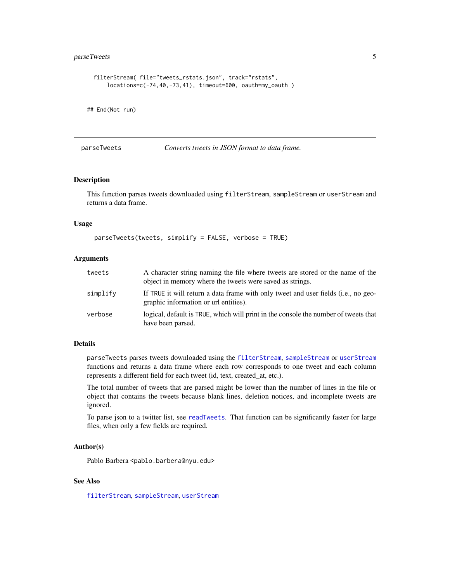#### <span id="page-4-0"></span>parseTweets 5

```
filterStream( file="tweets_rstats.json", track="rstats",
     locations=c(-74,40,-73,41), timeout=600, oauth=my_oauth )
## End(Not run)
```
<span id="page-4-1"></span>parseTweets *Converts tweets in JSON format to data frame.*

#### Description

This function parses tweets downloaded using filterStream, sampleStream or userStream and returns a data frame.

#### Usage

```
parseTweets(tweets, simplify = FALSE, verbose = TRUE)
```
#### Arguments

| tweets   | A character string naming the file where tweets are stored or the name of the<br>object in memory where the tweets were saved as strings. |
|----------|-------------------------------------------------------------------------------------------------------------------------------------------|
| simplify | If TRUE it will return a data frame with only tweet and user fields ( <i>i.e.</i> , no geo-<br>graphic information or url entities).      |
| verbose  | logical, default is TRUE, which will print in the console the number of tweets that<br>have been parsed.                                  |

#### Details

parseTweets parses tweets downloaded using the [filterStream](#page-1-1), [sampleStream](#page-6-1) or [userStream](#page-8-1) functions and returns a data frame where each row corresponds to one tweet and each column represents a different field for each tweet (id, text, created\_at, etc.).

The total number of tweets that are parsed might be lower than the number of lines in the file or object that contains the tweets because blank lines, deletion notices, and incomplete tweets are ignored.

To parse json to a twitter list, see [readTweets](#page-5-1). That function can be significantly faster for large files, when only a few fields are required.

#### Author(s)

Pablo Barbera <pablo.barbera@nyu.edu>

#### See Also

[filterStream](#page-1-1), [sampleStream](#page-6-1), [userStream](#page-8-1)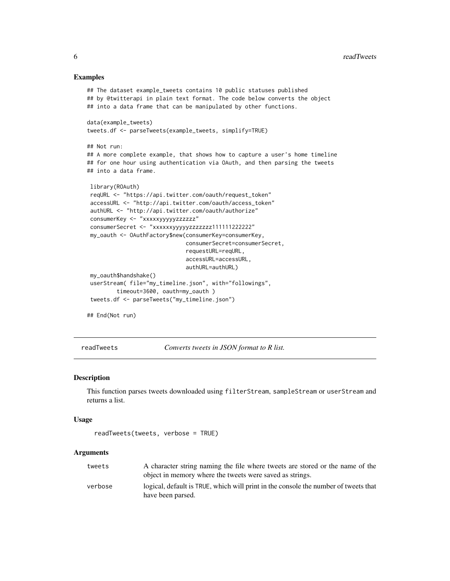#### Examples

```
## The dataset example_tweets contains 10 public statuses published
## by @twitterapi in plain text format. The code below converts the object
## into a data frame that can be manipulated by other functions.
data(example_tweets)
tweets.df <- parseTweets(example_tweets, simplify=TRUE)
## Not run:
## A more complete example, that shows how to capture a user's home timeline
## for one hour using authentication via OAuth, and then parsing the tweets
## into a data frame.
library(ROAuth)
reqURL <- "https://api.twitter.com/oauth/request_token"
 accessURL <- "http://api.twitter.com/oauth/access_token"
 authURL <- "http://api.twitter.com/oauth/authorize"
consumerKey <- "xxxxxyyyyyzzzzzz"
consumerSecret <- "xxxxxxyyyyyzzzzzzz111111222222"
 my_oauth <- OAuthFactory$new(consumerKey=consumerKey,
                              consumerSecret=consumerSecret,
                              requestURL=reqURL,
                              accessURL=accessURL,
                              authURL=authURL)
my_oauth$handshake()
 userStream( file="my_timeline.json", with="followings",
         timeout=3600, oauth=my_oauth )
 tweets.df <- parseTweets("my_timeline.json")
## End(Not run)
```
<span id="page-5-1"></span>readTweets *Converts tweets in JSON format to R list.*

#### Description

This function parses tweets downloaded using filterStream, sampleStream or userStream and returns a list.

#### Usage

```
readTweets(tweets, verbose = TRUE)
```
#### Arguments

| tweets  | A character string naming the file where tweets are stored or the name of the<br>object in memory where the tweets were saved as strings. |
|---------|-------------------------------------------------------------------------------------------------------------------------------------------|
| verbose | logical, default is TRUE, which will print in the console the number of tweets that<br>have been parsed.                                  |

<span id="page-5-0"></span>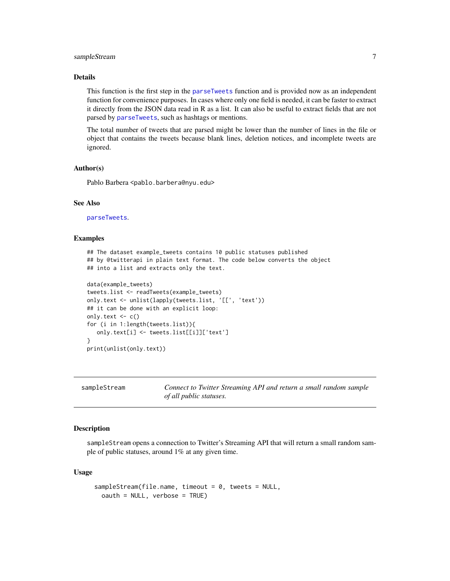#### <span id="page-6-0"></span>sampleStream 7

#### Details

This function is the first step in the [parseTweets](#page-4-1) function and is provided now as an independent function for convenience purposes. In cases where only one field is needed, it can be faster to extract it directly from the JSON data read in R as a list. It can also be useful to extract fields that are not parsed by [parseTweets](#page-4-1), such as hashtags or mentions.

The total number of tweets that are parsed might be lower than the number of lines in the file or object that contains the tweets because blank lines, deletion notices, and incomplete tweets are ignored.

#### Author(s)

Pablo Barbera <pablo.barbera@nyu.edu>

#### See Also

[parseTweets](#page-4-1).

#### Examples

```
## The dataset example_tweets contains 10 public statuses published
## by @twitterapi in plain text format. The code below converts the object
## into a list and extracts only the text.
data(example_tweets)
tweets.list <- readTweets(example_tweets)
only.text <- unlist(lapply(tweets.list, '[[', 'text'))
## it can be done with an explicit loop:
only.text \leq c()for (i in 1:length(tweets.list)){
  only.text[i] <- tweets.list[[i]]['text']
}
print(unlist(only.text))
```
<span id="page-6-1"></span>sampleStream *Connect to Twitter Streaming API and return a small random sample of all public statuses.*

#### Description

sampleStream opens a connection to Twitter's Streaming API that will return a small random sample of public statuses, around 1% at any given time.

#### Usage

```
sampleStream(file.name, timeout = 0, tweets = NULL,
 oauth = NULL, verbose = TRUE)
```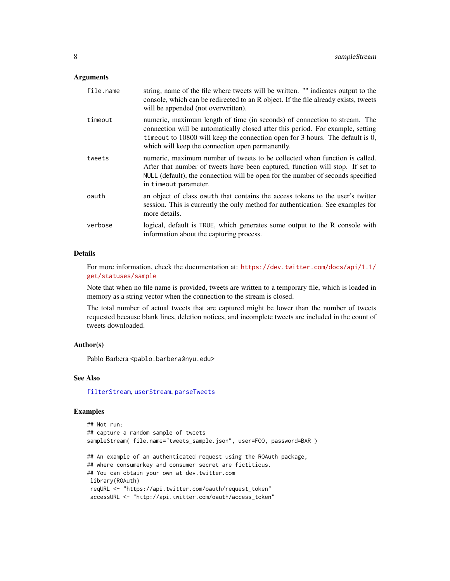#### <span id="page-7-0"></span>Arguments

| file.name | string, name of the file where tweets will be written. "" indicates output to the<br>console, which can be redirected to an R object. If the file already exists, tweets<br>will be appended (not overwritten).                                                                                    |
|-----------|----------------------------------------------------------------------------------------------------------------------------------------------------------------------------------------------------------------------------------------------------------------------------------------------------|
| timeout   | numeric, maximum length of time (in seconds) of connection to stream. The<br>connection will be automatically closed after this period. For example, setting<br>time out to 10800 will keep the connection open for 3 hours. The default is 0,<br>which will keep the connection open permanently. |
| tweets    | numeric, maximum number of tweets to be collected when function is called.<br>After that number of tweets have been captured, function will stop. If set to<br>NULL (default), the connection will be open for the number of seconds specified<br>in timeout parameter.                            |
| oauth     | an object of class oauth that contains the access tokens to the user's twitter<br>session. This is currently the only method for authentication. See examples for<br>more details.                                                                                                                 |
| verbose   | logical, default is TRUE, which generates some output to the R console with<br>information about the capturing process.                                                                                                                                                                            |

#### Details

For more information, check the documentation at: [https://dev.twitter.com/docs/api/1.1/](https://dev.twitter.com/docs/api/1.1/get/statuses/sample) [get/statuses/sample](https://dev.twitter.com/docs/api/1.1/get/statuses/sample)

Note that when no file name is provided, tweets are written to a temporary file, which is loaded in memory as a string vector when the connection to the stream is closed.

The total number of actual tweets that are captured might be lower than the number of tweets requested because blank lines, deletion notices, and incomplete tweets are included in the count of tweets downloaded.

#### Author(s)

Pablo Barbera <pablo.barbera@nyu.edu>

#### See Also

[filterStream](#page-1-1), [userStream](#page-8-1), [parseTweets](#page-4-1)

#### Examples

```
## Not run:
## capture a random sample of tweets
sampleStream( file.name="tweets_sample.json", user=F00, password=BAR )
## An example of an authenticated request using the ROAuth package,
## where consumerkey and consumer secret are fictitious.
## You can obtain your own at dev.twitter.com
library(ROAuth)
reqURL <- "https://api.twitter.com/oauth/request_token"
 accessURL <- "http://api.twitter.com/oauth/access_token"
```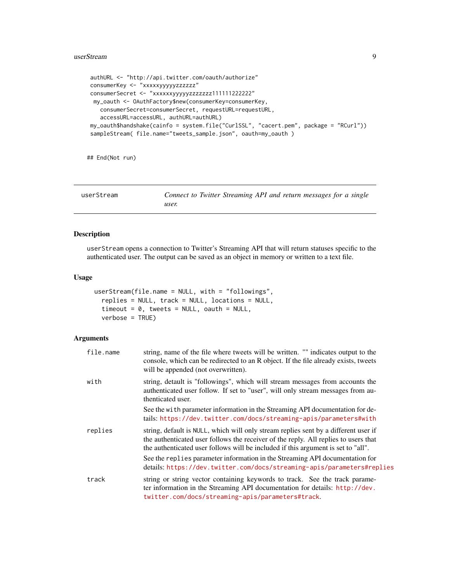#### <span id="page-8-0"></span>userStream 9

```
authURL <- "http://api.twitter.com/oauth/authorize"
consumerKey <- "xxxxxyyyyyzzzzzz"
consumerSecret <- "xxxxxxyyyyyzzzzzzz111111222222"
my_oauth <- OAuthFactory$new(consumerKey=consumerKey,
  consumerSecret=consumerSecret, requestURL=requestURL,
  accessURL=accessURL, authURL=authURL)
my_oauth$handshake(cainfo = system.file("CurlSSL", "cacert.pem", package = "RCurl"))
sampleStream( file.name="tweets_sample.json", oauth=my_oauth )
```
## End(Not run)

<span id="page-8-1"></span>

| userStream | Connect to Twitter Streaming API and return messages for a single |
|------------|-------------------------------------------------------------------|
|            | user.                                                             |

#### Description

userStream opens a connection to Twitter's Streaming API that will return statuses specific to the authenticated user. The output can be saved as an object in memory or written to a text file.

#### Usage

```
userStream(file.name = NULL, with = "followings",
 replies = NULL, track = NULL, locations = NULL,
 timeout = 0, tweets = NULL, oauth = NULL,
 verbose = TRUE)
```
#### Arguments

| file.name | string, name of the file where tweets will be written. "" indicates output to the<br>console, which can be redirected to an R object. If the file already exists, tweets<br>will be appended (not overwritten).                                                 |
|-----------|-----------------------------------------------------------------------------------------------------------------------------------------------------------------------------------------------------------------------------------------------------------------|
| with      | string, detault is "followings", which will stream messages from accounts the<br>authenticated user follow. If set to "user", will only stream messages from au-<br>thenticated user.                                                                           |
|           | See the with parameter information in the Streaming API documentation for de-<br>tails: https://dev.twitter.com/docs/streaming-apis/parameters#with                                                                                                             |
| replies   | string, default is NULL, which will only stream replies sent by a different user if<br>the authenticated user follows the receiver of the reply. All replies to users that<br>the authenticated user follows will be included if this argument is set to "all". |
|           | See the replies parameter information in the Streaming API documentation for<br>details: https://dev.twitter.com/docs/streaming-apis/parameters#replies                                                                                                         |
| track     | string or string vector containing keywords to track. See the track parame-<br>ter information in the Streaming API documentation for details: http://dev.<br>twitter.com/docs/streaming-apis/parameters#track.                                                 |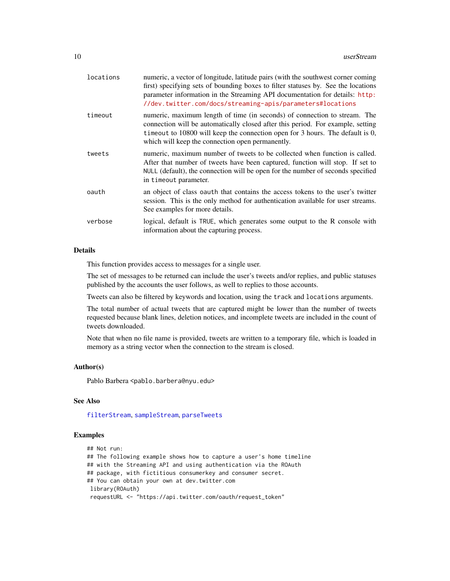<span id="page-9-0"></span>

| timeout<br>which will keep the connection open permanently.<br>tweets<br>in timeout parameter.<br>oauth<br>See examples for more details.<br>verbose<br>information about the capturing process. | locations | numeric, a vector of longitude, latitude pairs (with the southwest corner coming<br>first) specifying sets of bounding boxes to filter statuses by. See the locations<br>parameter information in the Streaming API documentation for details: http:<br>//dev.twitter.com/docs/streaming-apis/parameters#locations |
|--------------------------------------------------------------------------------------------------------------------------------------------------------------------------------------------------|-----------|--------------------------------------------------------------------------------------------------------------------------------------------------------------------------------------------------------------------------------------------------------------------------------------------------------------------|
|                                                                                                                                                                                                  |           | numeric, maximum length of time (in seconds) of connection to stream. The<br>connection will be automatically closed after this period. For example, setting<br>time out to $10800$ will keep the connection open for 3 hours. The default is 0,                                                                   |
|                                                                                                                                                                                                  |           | numeric, maximum number of tweets to be collected when function is called.<br>After that number of tweets have been captured, function will stop. If set to<br>NULL (default), the connection will be open for the number of seconds specified                                                                     |
|                                                                                                                                                                                                  |           | an object of class oauth that contains the access tokens to the user's twitter<br>session. This is the only method for authentication available for user streams.                                                                                                                                                  |
|                                                                                                                                                                                                  |           | logical, default is TRUE, which generates some output to the R console with                                                                                                                                                                                                                                        |

#### Details

This function provides access to messages for a single user.

The set of messages to be returned can include the user's tweets and/or replies, and public statuses published by the accounts the user follows, as well to replies to those accounts.

Tweets can also be filtered by keywords and location, using the track and locations arguments.

The total number of actual tweets that are captured might be lower than the number of tweets requested because blank lines, deletion notices, and incomplete tweets are included in the count of tweets downloaded.

Note that when no file name is provided, tweets are written to a temporary file, which is loaded in memory as a string vector when the connection to the stream is closed.

#### Author(s)

Pablo Barbera <pablo.barbera@nyu.edu>

#### See Also

[filterStream](#page-1-1), [sampleStream](#page-6-1), [parseTweets](#page-4-1)

#### Examples

```
## Not run:
## The following example shows how to capture a user's home timeline
## with the Streaming API and using authentication via the ROAuth
## package, with fictitious consumerkey and consumer secret.
## You can obtain your own at dev.twitter.com
library(ROAuth)
requestURL <- "https://api.twitter.com/oauth/request_token"
```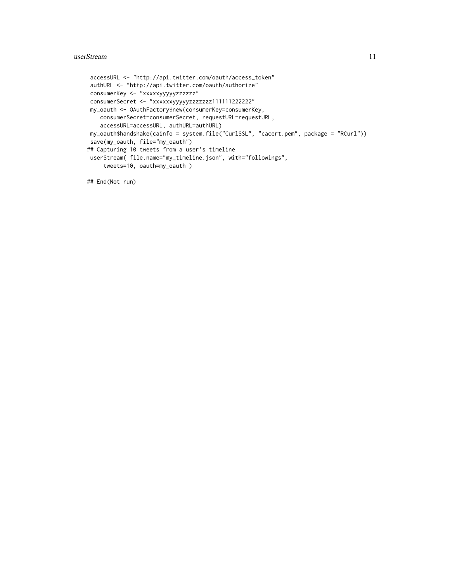#### userStream and the contract of the contract of the contract of the contract of the contract of the contract of the contract of the contract of the contract of the contract of the contract of the contract of the contract of

```
accessURL <- "http://api.twitter.com/oauth/access_token"
authURL <- "http://api.twitter.com/oauth/authorize"
consumerKey <- "xxxxxyyyyyzzzzzz"
consumerSecret <- "xxxxxxyyyyyzzzzzzz111111222222"
my_oauth <- OAuthFactory$new(consumerKey=consumerKey,
   consumerSecret=consumerSecret, requestURL=requestURL,
   accessURL=accessURL, authURL=authURL)
my_oauth$handshake(cainfo = system.file("CurlSSL", "cacert.pem", package = "RCurl"))
save(my_oauth, file="my_oauth")
## Capturing 10 tweets from a user's timeline
userStream( file.name="my_timeline.json", with="followings",
     tweets=10, oauth=my_oauth )
```
## End(Not run)